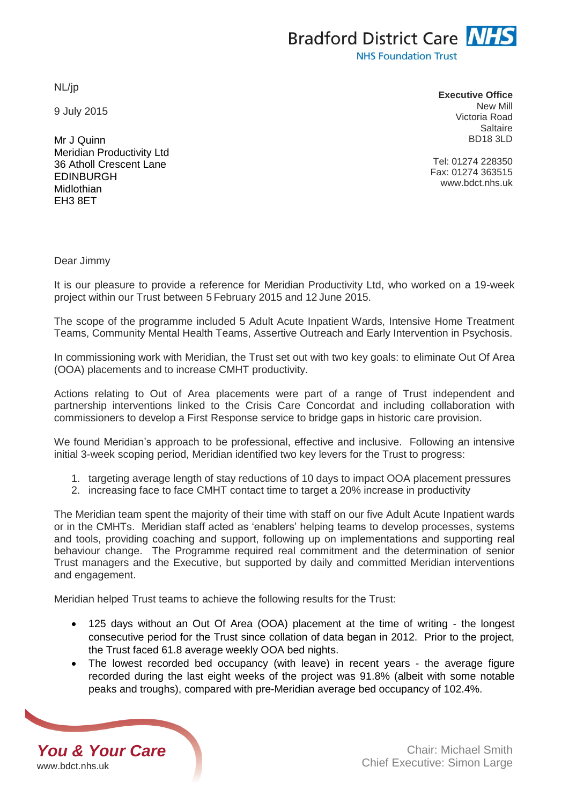NL/jp

9 July 2015

Mr J Quinn Meridian Productivity Ltd 36 Atholl Crescent Lane **FDINBURGH** Midlothian EH3 8ET

**Executive Office** New Mill Victoria Road Saltaire BD18 3LD

Tel: 01274 228350 Fax: 01274 363515 www.bdct.nhs.uk

Dear Jimmy

It is our pleasure to provide a reference for Meridian Productivity Ltd, who worked on a 19-week project within our Trust between 5 February 2015 and 12 June 2015.

The scope of the programme included 5 Adult Acute Inpatient Wards, Intensive Home Treatment Teams, Community Mental Health Teams, Assertive Outreach and Early Intervention in Psychosis.

In commissioning work with Meridian, the Trust set out with two key goals: to eliminate Out Of Area (OOA) placements and to increase CMHT productivity.

Actions relating to Out of Area placements were part of a range of Trust independent and partnership interventions linked to the Crisis Care Concordat and including collaboration with commissioners to develop a First Response service to bridge gaps in historic care provision.

We found Meridian's approach to be professional, effective and inclusive. Following an intensive initial 3-week scoping period, Meridian identified two key levers for the Trust to progress:

- 1. targeting average length of stay reductions of 10 days to impact OOA placement pressures
- 2. increasing face to face CMHT contact time to target a 20% increase in productivity

The Meridian team spent the majority of their time with staff on our five Adult Acute Inpatient wards or in the CMHTs. Meridian staff acted as 'enablers' helping teams to develop processes, systems and tools, providing coaching and support, following up on implementations and supporting real behaviour change. The Programme required real commitment and the determination of senior Trust managers and the Executive, but supported by daily and committed Meridian interventions and engagement.

Meridian helped Trust teams to achieve the following results for the Trust:

- 125 days without an Out Of Area (OOA) placement at the time of writing the longest consecutive period for the Trust since collation of data began in 2012. Prior to the project, the Trust faced 61.8 average weekly OOA bed nights.
- The lowest recorded bed occupancy (with leave) in recent years the average figure recorded during the last eight weeks of the project was 91.8% (albeit with some notable peaks and troughs), compared with pre-Meridian average bed occupancy of 102.4%.